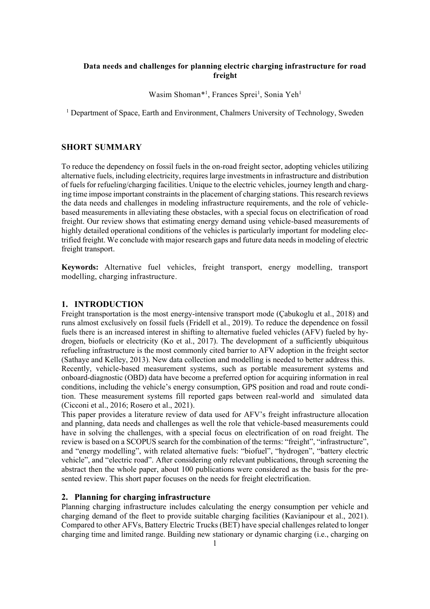# **Data needs and challenges for planning electric charging infrastructure for road freight**

Wasim Shoman\*<sup>1</sup>, Frances Sprei<sup>1</sup>, Sonia Yeh<sup>1</sup>

<sup>1</sup> Department of Space, Earth and Environment, Chalmers University of Technology, Sweden

# **SHORT SUMMARY**

To reduce the dependency on fossil fuels in the on-road freight sector, adopting vehicles utilizing alternative fuels, including electricity, requires large investments in infrastructure and distribution of fuels for refueling/charging facilities. Unique to the electric vehicles, journey length and charging time impose important constraints in the placement of charging stations. This research reviews the data needs and challenges in modeling infrastructure requirements, and the role of vehiclebased measurements in alleviating these obstacles, with a special focus on electrification of road freight. Our review shows that estimating energy demand using vehicle-based measurements of highly detailed operational conditions of the vehicles is particularly important for modeling electrified freight. We conclude with major research gaps and future data needs in modeling of electric freight transport.

**Keywords:** Alternative fuel vehicles, freight transport, energy modelling, transport modelling, charging infrastructure.

### **1. INTRODUCTION**

Freight transportation is the most energy-intensive transport mode (Çabukoglu et al., 2018) and runs almost exclusively on fossil fuels (Fridell et al., 2019). To reduce the dependence on fossil fuels there is an increased interest in shifting to alternative fueled vehicles (AFV) fueled by hydrogen, biofuels or electricity (Ko et al., 2017). The development of a sufficiently ubiquitous refueling infrastructure is the most commonly cited barrier to AFV adoption in the freight sector (Sathaye and Kelley, 2013). New data collection and modelling is needed to better address this. Recently, vehicle-based measurement systems, such as portable measurement systems and onboard-diagnostic (OBD) data have become a preferred option for acquiring information in real conditions, including the vehicle's energy consumption, GPS position and road and route condition. These measurement systems fill reported gaps between real-world and simulated data (Cicconi et al., 2016; Rosero et al., 2021).

This paper provides a literature review of data used for AFV's freight infrastructure allocation and planning, data needs and challenges as well the role that vehicle-based measurements could have in solving the challenges, with a special focus on electrification of on road freight. The review is based on a SCOPUS search for the combination of the terms: "freight", "infrastructure", and "energy modelling", with related alternative fuels: "biofuel", "hydrogen", "battery electric vehicle", and "electric road". After considering only relevant publications, through screening the abstract then the whole paper, about 100 publications were considered as the basis for the presented review. This short paper focuses on the needs for freight electrification.

## **2. Planning for charging infrastructure**

Planning charging infrastructure includes calculating the energy consumption per vehicle and charging demand of the fleet to provide suitable charging facilities (Kavianipour et al., 2021). Compared to other AFVs, Battery Electric Trucks (BET) have special challenges related to longer charging time and limited range. Building new stationary or dynamic charging (i.e., charging on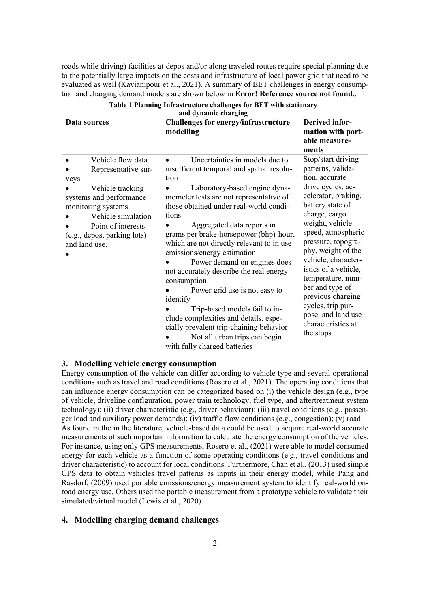roads while driving) facilities at depos and/or along traveled routes require special planning due to the potentially large impacts on the costs and infrastructure of local power grid that need to be evaluated as well (Kavianipour et al., 2021). A summary of BET challenges in energy consumption and charging demand models are shown below in **Error! Reference source not found.**.

| ани иунанны ынагдинд                                                                                                                                                                                                           |                                                                                                                                                                                                                                                                                                                                                                                                                                                                                                                                                                                                                                                                                                                  |                                                                                                                                                                                                                                                                                                                                                                                                                           |
|--------------------------------------------------------------------------------------------------------------------------------------------------------------------------------------------------------------------------------|------------------------------------------------------------------------------------------------------------------------------------------------------------------------------------------------------------------------------------------------------------------------------------------------------------------------------------------------------------------------------------------------------------------------------------------------------------------------------------------------------------------------------------------------------------------------------------------------------------------------------------------------------------------------------------------------------------------|---------------------------------------------------------------------------------------------------------------------------------------------------------------------------------------------------------------------------------------------------------------------------------------------------------------------------------------------------------------------------------------------------------------------------|
| Data sources                                                                                                                                                                                                                   | Challenges for energy/infrastructure<br>modelling                                                                                                                                                                                                                                                                                                                                                                                                                                                                                                                                                                                                                                                                | <b>Derived infor-</b><br>mation with port-<br>able measure-<br>ments                                                                                                                                                                                                                                                                                                                                                      |
| Vehicle flow data<br>$\bullet$<br>Representative sur-<br>veys<br>Vehicle tracking<br>systems and performance<br>monitoring systems<br>Vehicle simulation<br>Point of interests<br>(e.g., depos, parking lots)<br>and land use. | Uncertainties in models due to<br>$\bullet$<br>insufficient temporal and spatial resolu-<br>tion<br>Laboratory-based engine dyna-<br>mometer tests are not representative of<br>those obtained under real-world condi-<br>tions<br>Aggregated data reports in<br>grams per brake-horsepower (bhp)-hour,<br>which are not directly relevant to in use<br>emissions/energy estimation<br>Power demand on engines does<br>not accurately describe the real energy<br>consumption<br>Power grid use is not easy to<br>identify<br>Trip-based models fail to in-<br>clude complexities and details, espe-<br>cially prevalent trip-chaining behavior<br>Not all urban trips can begin<br>with fully charged batteries | Stop/start driving<br>patterns, valida-<br>tion, accurate<br>drive cycles, ac-<br>celerator, braking,<br>battery state of<br>charge, cargo<br>weight, vehicle<br>speed, atmospheric<br>pressure, topogra-<br>phy, weight of the<br>vehicle, character-<br>istics of a vehicle,<br>temperature, num-<br>ber and type of<br>previous charging<br>cycles, trip pur-<br>pose, and land use<br>characteristics at<br>the stops |

#### **Table 1 Planning Infrastructure challenges for BET with stationary and dynamic charging**

## **3. Modelling vehicle energy consumption**

Energy consumption of the vehicle can differ according to vehicle type and several operational conditions such as travel and road conditions (Rosero et al., 2021). The operating conditions that can influence energy consumption can be categorized based on (i) the vehicle design (e.g., type of vehicle, driveline configuration, power train technology, fuel type, and aftertreatment system technology); (ii) driver characteristic (e.g., driver behaviour); (iii) travel conditions (e.g., passenger load and auxiliary power demands); (iv) traffic flow conditions (e.g., congestion); (v) road As found in the in the literature, vehicle-based data could be used to acquire real-world accurate measurements of such important information to calculate the energy consumption of the vehicles. For instance, using only GPS measurements, Rosero et al., (2021) were able to model consumed energy for each vehicle as a function of some operating conditions (e.g., travel conditions and driver characteristic) to account for local conditions. Furthermore, Chan et al., (2013) used simple GPS data to obtain vehicles travel patterns as inputs in their energy model, while Pang and Rasdorf, (2009) used portable emissions/energy measurement system to identify real-world onroad energy use. Others used the portable measurement from a prototype vehicle to validate their simulated/virtual model (Lewis et al., 2020).

## **4. Modelling charging demand challenges**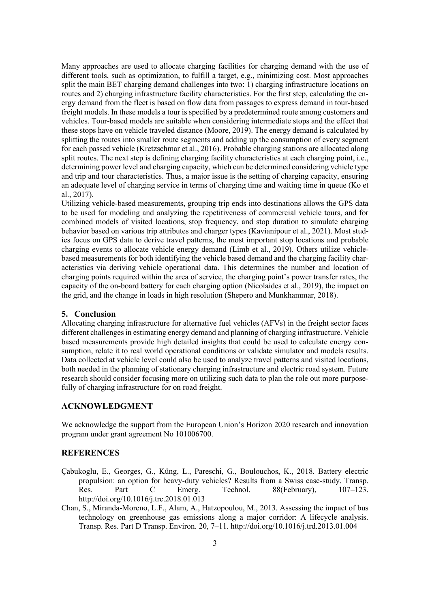Many approaches are used to allocate charging facilities for charging demand with the use of different tools, such as optimization, to fulfill a target, e.g., minimizing cost. Most approaches split the main BET charging demand challenges into two: 1) charging infrastructure locations on routes and 2) charging infrastructure facility characteristics. For the first step, calculating the energy demand from the fleet is based on flow data from passages to express demand in tour-based freight models. In these models a tour is specified by a predetermined route among customers and vehicles. Tour-based models are suitable when considering intermediate stops and the effect that these stops have on vehicle traveled distance (Moore, 2019). The energy demand is calculated by splitting the routes into smaller route segments and adding up the consumption of every segment for each passed vehicle (Kretzschmar et al., 2016). Probable charging stations are allocated along split routes. The next step is defining charging facility characteristics at each charging point, i.e., determining power level and charging capacity, which can be determined considering vehicle type and trip and tour characteristics. Thus, a major issue is the setting of charging capacity, ensuring an adequate level of charging service in terms of charging time and waiting time in queue (Ko et al., 2017).

Utilizing vehicle-based measurements, grouping trip ends into destinations allows the GPS data to be used for modeling and analyzing the repetitiveness of commercial vehicle tours, and for combined models of visited locations, stop frequency, and stop duration to simulate charging behavior based on various trip attributes and charger types (Kavianipour et al., 2021). Most studies focus on GPS data to derive travel patterns, the most important stop locations and probable charging events to allocate vehicle energy demand (Limb et al., 2019). Others utilize vehiclebased measurements for both identifying the vehicle based demand and the charging facility characteristics via deriving vehicle operational data. This determines the number and location of charging points required within the area of service, the charging point's power transfer rates, the capacity of the on-board battery for each charging option (Nicolaides et al., 2019), the impact on the grid, and the change in loads in high resolution (Shepero and Munkhammar, 2018).

## **5. Conclusion**

Allocating charging infrastructure for alternative fuel vehicles (AFVs) in the freight sector faces different challenges in estimating energy demand and planning of charging infrastructure. Vehicle based measurements provide high detailed insights that could be used to calculate energy consumption, relate it to real world operational conditions or validate simulator and models results. Data collected at vehicle level could also be used to analyze travel patterns and visited locations, both needed in the planning of stationary charging infrastructure and electric road system. Future research should consider focusing more on utilizing such data to plan the role out more purposefully of charging infrastructure for on road freight.

## **ACKNOWLEDGMENT**

We acknowledge the support from the European Union's Horizon 2020 research and innovation program under grant agreement No 101006700.

#### **REFERENCES**

- Çabukoglu, E., Georges, G., Küng, L., Pareschi, G., Boulouchos, K., 2018. Battery electric propulsion: an option for heavy-duty vehicles? Results from a Swiss case-study. Transp. Res. Part C Emerg. Technol. 88(February), 107–123. http://doi.org/10.1016/j.trc.2018.01.013
- Chan, S., Miranda-Moreno, L.F., Alam, A., Hatzopoulou, M., 2013. Assessing the impact of bus technology on greenhouse gas emissions along a major corridor: A lifecycle analysis. Transp. Res. Part D Transp. Environ. 20, 7–11. http://doi.org/10.1016/j.trd.2013.01.004